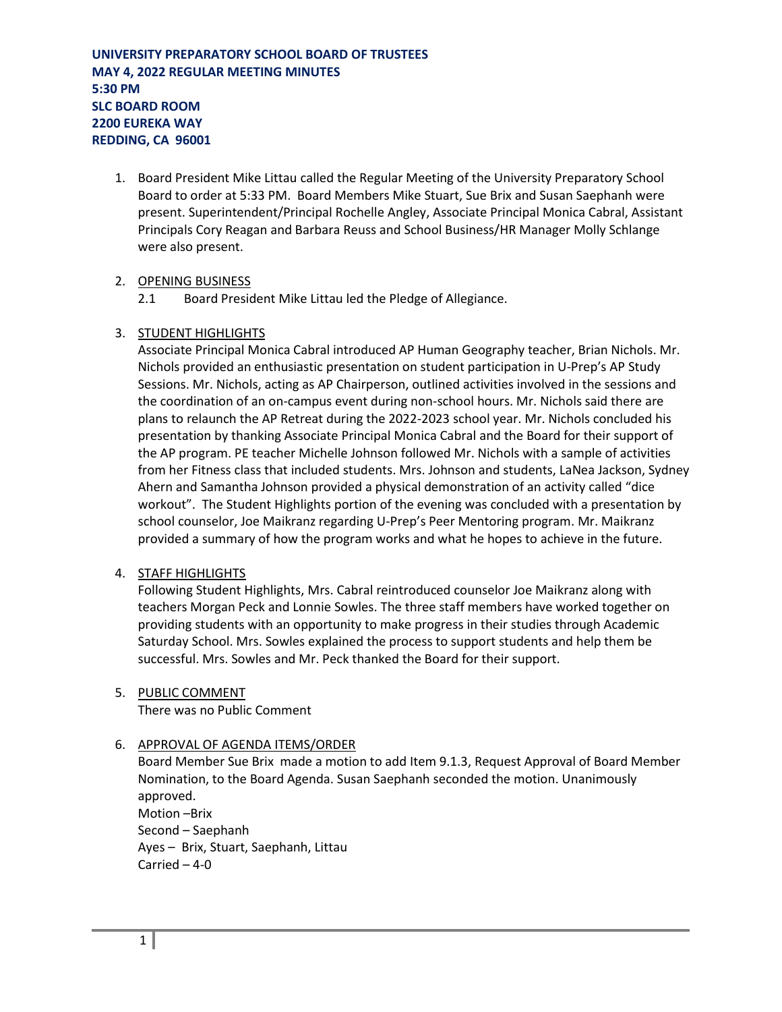1. Board President Mike Littau called the Regular Meeting of the University Preparatory School Board to order at 5:33 PM. Board Members Mike Stuart, Sue Brix and Susan Saephanh were present. Superintendent/Principal Rochelle Angley, Associate Principal Monica Cabral, Assistant Principals Cory Reagan and Barbara Reuss and School Business/HR Manager Molly Schlange were also present.

### 2. OPENING BUSINESS

2.1 Board President Mike Littau led the Pledge of Allegiance.

### 3. STUDENT HIGHLIGHTS

Associate Principal Monica Cabral introduced AP Human Geography teacher, Brian Nichols. Mr. Nichols provided an enthusiastic presentation on student participation in U-Prep's AP Study Sessions. Mr. Nichols, acting as AP Chairperson, outlined activities involved in the sessions and the coordination of an on-campus event during non-school hours. Mr. Nichols said there are plans to relaunch the AP Retreat during the 2022-2023 school year. Mr. Nichols concluded his presentation by thanking Associate Principal Monica Cabral and the Board for their support of the AP program. PE teacher Michelle Johnson followed Mr. Nichols with a sample of activities from her Fitness class that included students. Mrs. Johnson and students, LaNea Jackson, Sydney Ahern and Samantha Johnson provided a physical demonstration of an activity called "dice workout". The Student Highlights portion of the evening was concluded with a presentation by school counselor, Joe Maikranz regarding U-Prep's Peer Mentoring program. Mr. Maikranz provided a summary of how the program works and what he hopes to achieve in the future.

### 4. STAFF HIGHLIGHTS

Following Student Highlights, Mrs. Cabral reintroduced counselor Joe Maikranz along with teachers Morgan Peck and Lonnie Sowles. The three staff members have worked together on providing students with an opportunity to make progress in their studies through Academic Saturday School. Mrs. Sowles explained the process to support students and help them be successful. Mrs. Sowles and Mr. Peck thanked the Board for their support.

5. PUBLIC COMMENT

There was no Public Comment

# 6. APPROVAL OF AGENDA ITEMS/ORDER

Board Member Sue Brix made a motion to add Item 9.1.3, Request Approval of Board Member Nomination, to the Board Agenda. Susan Saephanh seconded the motion. Unanimously approved. Motion –Brix

Second – Saephanh Ayes – Brix, Stuart, Saephanh, Littau Carried – 4-0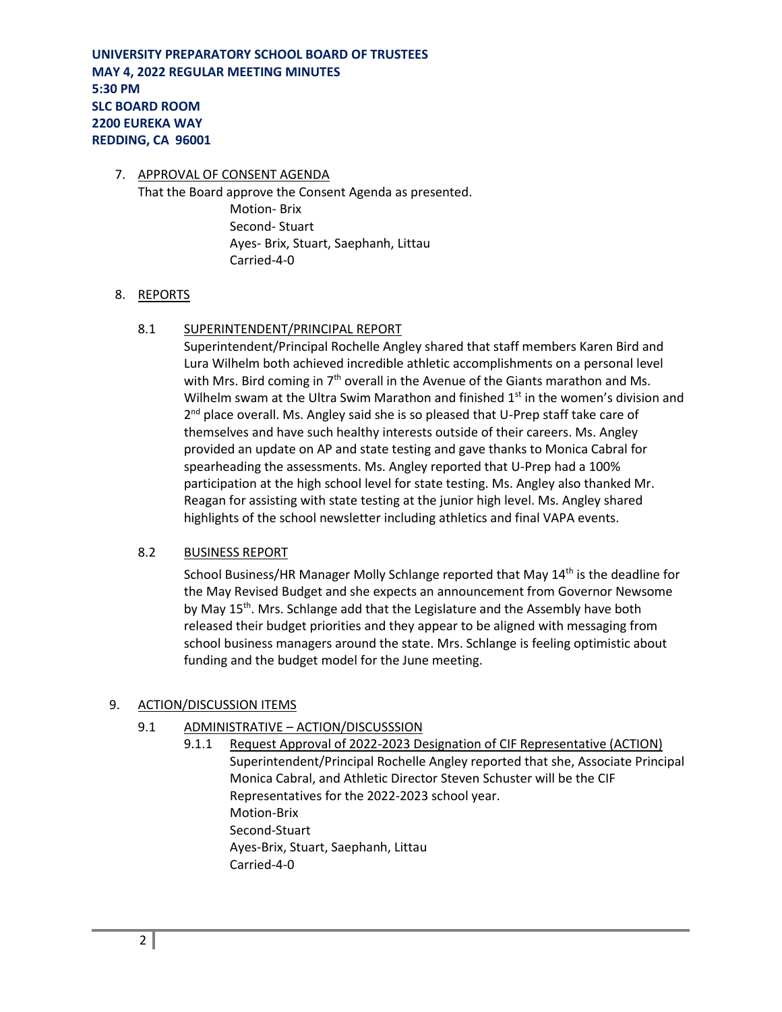#### 7. APPROVAL OF CONSENT AGENDA

That the Board approve the Consent Agenda as presented. Motion- Brix Second- Stuart Ayes- Brix, Stuart, Saephanh, Littau Carried-4-0

### 8. REPORTS

### 8.1 SUPERINTENDENT/PRINCIPAL REPORT

Superintendent/Principal Rochelle Angley shared that staff members Karen Bird and Lura Wilhelm both achieved incredible athletic accomplishments on a personal level with Mrs. Bird coming in  $7<sup>th</sup>$  overall in the Avenue of the Giants marathon and Ms. Wilhelm swam at the Ultra Swim Marathon and finished  $1<sup>st</sup>$  in the women's division and 2<sup>nd</sup> place overall. Ms. Angley said she is so pleased that U-Prep staff take care of themselves and have such healthy interests outside of their careers. Ms. Angley provided an update on AP and state testing and gave thanks to Monica Cabral for spearheading the assessments. Ms. Angley reported that U-Prep had a 100% participation at the high school level for state testing. Ms. Angley also thanked Mr. Reagan for assisting with state testing at the junior high level. Ms. Angley shared highlights of the school newsletter including athletics and final VAPA events.

### 8.2 BUSINESS REPORT

School Business/HR Manager Molly Schlange reported that May  $14<sup>th</sup>$  is the deadline for the May Revised Budget and she expects an announcement from Governor Newsome by May 15<sup>th</sup>. Mrs. Schlange add that the Legislature and the Assembly have both released their budget priorities and they appear to be aligned with messaging from school business managers around the state. Mrs. Schlange is feeling optimistic about funding and the budget model for the June meeting.

### 9. ACTION/DISCUSSION ITEMS

# 9.1 ADMINISTRATIVE – ACTION/DISCUSSSION

9.1.1 Request Approval of 2022-2023 Designation of CIF Representative (ACTION) Superintendent/Principal Rochelle Angley reported that she, Associate Principal Monica Cabral, and Athletic Director Steven Schuster will be the CIF Representatives for the 2022-2023 school year. Motion-Brix Second-Stuart Ayes-Brix, Stuart, Saephanh, Littau Carried-4-0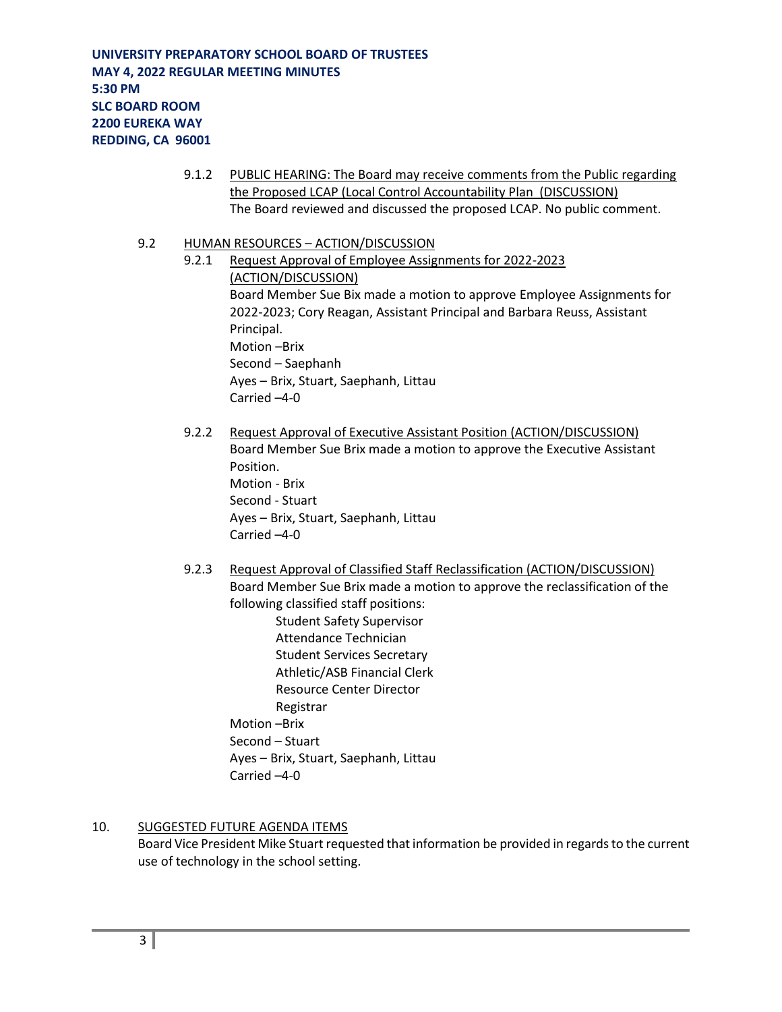- 9.1.2 PUBLIC HEARING: The Board may receive comments from the Public regarding the Proposed LCAP (Local Control Accountability Plan (DISCUSSION) The Board reviewed and discussed the proposed LCAP. No public comment.
- 9.2 HUMAN RESOURCES ACTION/DISCUSSION
	- 9.2.1 Request Approval of Employee Assignments for 2022-2023 (ACTION/DISCUSSION) Board Member Sue Bix made a motion to approve Employee Assignments for 2022-2023; Cory Reagan, Assistant Principal and Barbara Reuss, Assistant Principal. Motion –Brix Second – Saephanh Ayes – Brix, Stuart, Saephanh, Littau Carried –4-0
	- 9.2.2 Request Approval of Executive Assistant Position (ACTION/DISCUSSION) Board Member Sue Brix made a motion to approve the Executive Assistant Position. Motion - Brix Second - Stuart Ayes – Brix, Stuart, Saephanh, Littau Carried –4-0
	- 9.2.3 Request Approval of Classified Staff Reclassification (ACTION/DISCUSSION) Board Member Sue Brix made a motion to approve the reclassification of the following classified staff positions:
		- Student Safety Supervisor Attendance Technician Student Services Secretary Athletic/ASB Financial Clerk Resource Center Director Registrar Motion –Brix Second – Stuart Ayes – Brix, Stuart, Saephanh, Littau Carried –4-0

# 10. SUGGESTED FUTURE AGENDA ITEMS

Board Vice President Mike Stuart requested that information be provided in regards to the current use of technology in the school setting.